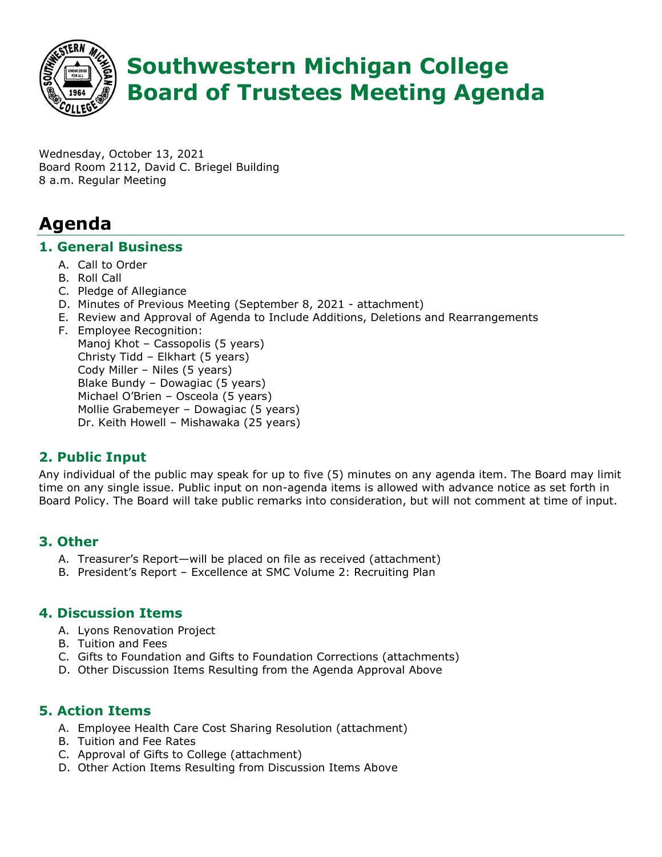

# **Southwestern Michigan College Board of Trustees Meeting Agenda**

Wednesday, October 13, 2021 Board Room 2112, David C. Briegel Building 8 a.m. Regular Meeting

# **Agenda**

#### **1. General Business**

- A. Call to Order
- B. Roll Call
- C. Pledge of Allegiance
- D. Minutes of Previous Meeting (September 8, 2021 attachment)
- E. Review and Approval of Agenda to Include Additions, Deletions and Rearrangements
- F. Employee Recognition: Manoj Khot – Cassopolis (5 years) Christy Tidd – Elkhart (5 years) Cody Miller – Niles (5 years) Blake Bundy – Dowagiac (5 years) Michael O'Brien – Osceola (5 years) Mollie Grabemeyer – Dowagiac (5 years) Dr. Keith Howell – Mishawaka (25 years)

### **2. Public Input**

Any individual of the public may speak for up to five (5) minutes on any agenda item. The Board may limit time on any single issue. Public input on non-agenda items is allowed with advance notice as set forth in Board Policy. The Board will take public remarks into consideration, but will not comment at time of input.

#### **3. Other**

- A. Treasurer's Report—will be placed on file as received (attachment)
- B. President's Report Excellence at SMC Volume 2: Recruiting Plan

#### **4. Discussion Items**

- A. Lyons Renovation Project
- B. Tuition and Fees
- C. Gifts to Foundation and Gifts to Foundation Corrections (attachments)
- D. Other Discussion Items Resulting from the Agenda Approval Above

#### **5. Action Items**

- A. Employee Health Care Cost Sharing Resolution (attachment)
- B. Tuition and Fee Rates
- C. Approval of Gifts to College (attachment)
- D. Other Action Items Resulting from Discussion Items Above